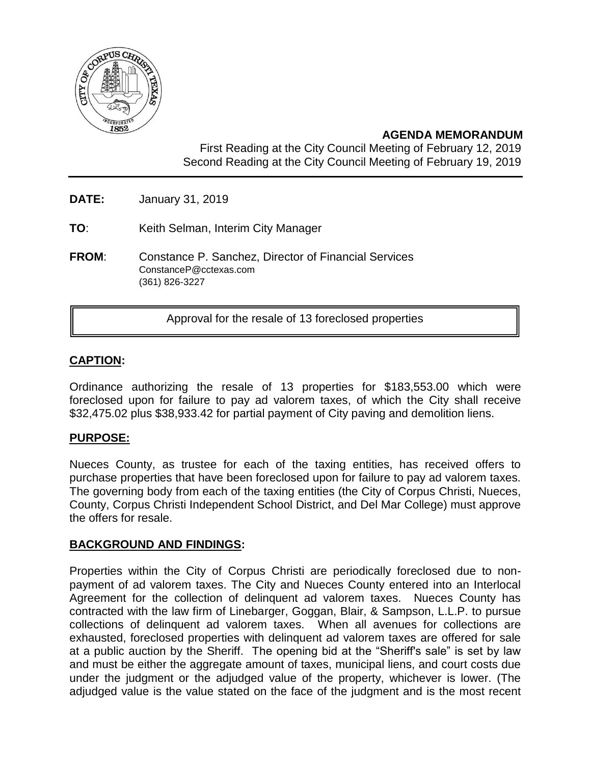

# **AGENDA MEMORANDUM**

First Reading at the City Council Meeting of February 12, 2019 Second Reading at the City Council Meeting of February 19, 2019

- **DATE:** January 31, 2019
- **TO**: Keith Selman, Interim City Manager
- **FROM**: Constance P. Sanchez, Director of Financial Services ConstanceP@cctexas.com (361) 826-3227

Approval for the resale of 13 foreclosed properties

## **CAPTION:**

Ordinance authorizing the resale of 13 properties for \$183,553.00 which were foreclosed upon for failure to pay ad valorem taxes, of which the City shall receive \$32,475.02 plus \$38,933.42 for partial payment of City paving and demolition liens.

#### **PURPOSE:**

Nueces County, as trustee for each of the taxing entities, has received offers to purchase properties that have been foreclosed upon for failure to pay ad valorem taxes. The governing body from each of the taxing entities (the City of Corpus Christi, Nueces, County, Corpus Christi Independent School District, and Del Mar College) must approve the offers for resale.

#### **BACKGROUND AND FINDINGS:**

Properties within the City of Corpus Christi are periodically foreclosed due to nonpayment of ad valorem taxes. The City and Nueces County entered into an Interlocal Agreement for the collection of delinquent ad valorem taxes. Nueces County has contracted with the law firm of Linebarger, Goggan, Blair, & Sampson, L.L.P. to pursue collections of delinquent ad valorem taxes. When all avenues for collections are exhausted, foreclosed properties with delinquent ad valorem taxes are offered for sale at a public auction by the Sheriff. The opening bid at the "Sheriff's sale" is set by law and must be either the aggregate amount of taxes, municipal liens, and court costs due under the judgment or the adjudged value of the property, whichever is lower. (The adjudged value is the value stated on the face of the judgment and is the most recent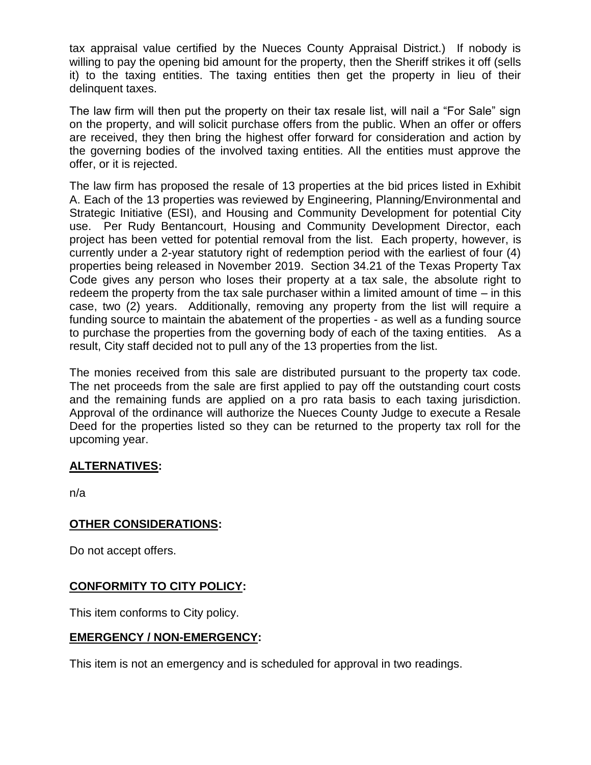tax appraisal value certified by the Nueces County Appraisal District.) If nobody is willing to pay the opening bid amount for the property, then the Sheriff strikes it off (sells it) to the taxing entities. The taxing entities then get the property in lieu of their delinquent taxes.

The law firm will then put the property on their tax resale list, will nail a "For Sale" sign on the property, and will solicit purchase offers from the public. When an offer or offers are received, they then bring the highest offer forward for consideration and action by the governing bodies of the involved taxing entities. All the entities must approve the offer, or it is rejected.

The law firm has proposed the resale of 13 properties at the bid prices listed in Exhibit A. Each of the 13 properties was reviewed by Engineering, Planning/Environmental and Strategic Initiative (ESI), and Housing and Community Development for potential City use. Per Rudy Bentancourt, Housing and Community Development Director, each project has been vetted for potential removal from the list. Each property, however, is currently under a 2-year statutory right of redemption period with the earliest of four (4) properties being released in November 2019. Section 34.21 of the Texas Property Tax Code gives any person who loses their property at a tax sale, the absolute right to redeem the property from the tax sale purchaser within a limited amount of time – in this case, two (2) years. Additionally, removing any property from the list will require a funding source to maintain the abatement of the properties - as well as a funding source to purchase the properties from the governing body of each of the taxing entities. As a result, City staff decided not to pull any of the 13 properties from the list.

The monies received from this sale are distributed pursuant to the property tax code. The net proceeds from the sale are first applied to pay off the outstanding court costs and the remaining funds are applied on a pro rata basis to each taxing jurisdiction. Approval of the ordinance will authorize the Nueces County Judge to execute a Resale Deed for the properties listed so they can be returned to the property tax roll for the upcoming year.

## **ALTERNATIVES:**

n/a

## **OTHER CONSIDERATIONS:**

Do not accept offers.

## **CONFORMITY TO CITY POLICY:**

This item conforms to City policy.

## **EMERGENCY / NON-EMERGENCY:**

This item is not an emergency and is scheduled for approval in two readings.